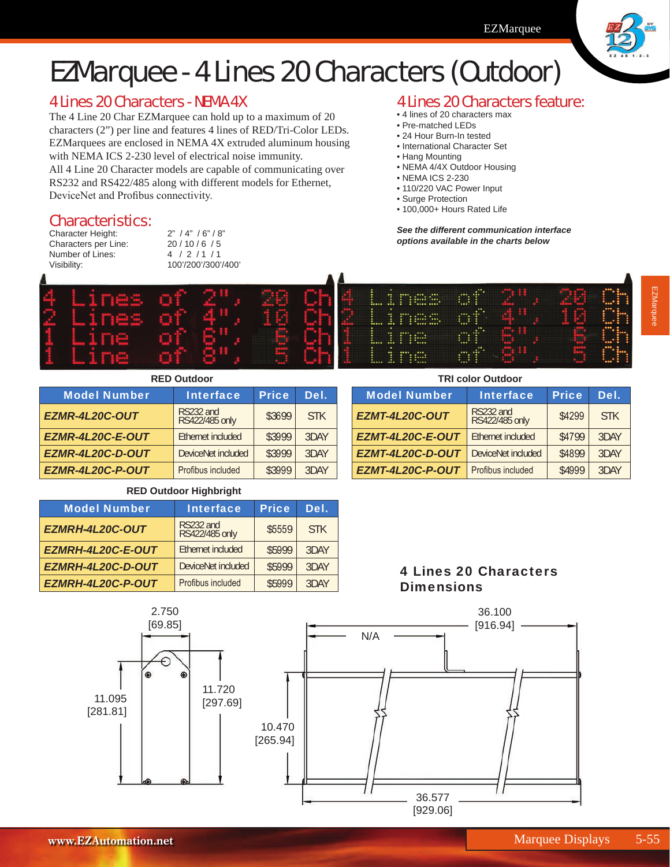

# EZMarquee - 4 Lines 20 Characters (Outdoor)

## 4 Lines 20 Characters - NEMA 4X

The 4 Line 20 Char EZMarquee can hold up to a maximum of 20 characters (2") per line and features 4 lines of RED/Tri-Color LEDs. EZMarquees are enclosed in NEMA 4X extruded aluminum housing with NEMA ICS 2-230 level of electrical noise immunity.

All 4 Line 20 Character models are capable of communicating over RS232 and RS422/485 along with different models for Ethernet, DeviceNet and Profibus connectivity.

#### Characteristics:

Character Height: 2" / 4" / 6" / 8"<br>Characters per Line: 20 / 10 / 6 / 5 Characters per Line: Number of Lines: 4 / 2 / 1 / 1 Visibility: 100'/200'/300'/400'

### 4 Lines 20 Characters feature:

- 4 lines of 20 characters max
- Pre-matched LEDs
- 24 Hour Burn-In tested • International Character Set
- Hang Mounting
- NEMA 4/4X Outdoor Housing
- NEMA ICS 2-230
- 110/220 VAC Power Input
- Surge Protection

**EZMT-4L20C-OUT** 

• 100,000+ Hours Rated Life

*See the different communication interface options available in the charts below*

Model Number | Interface | Price | Del.

**TRI color Outdoor**

**EZMT-4L20C-E-OUT** Ethernet included | \$4799 3DAY **EZMT-4L20C-D-OUT** DeviceNet included | \$4899 3DAY **EZMT-4L20C-P-OUT** Profibus included | \$4999 3DAY

RS232 and<br>RS422/485 only \$4299 STK



| <b>RED Outdoor</b>  |                             |              |            |  |  |
|---------------------|-----------------------------|--------------|------------|--|--|
| <b>Model Number</b> | <b>Interface</b>            | <b>Price</b> | Del.       |  |  |
| EZMR-4L20C-OUT      | RS232 and<br>RS422/485 only | \$3699       | <b>STK</b> |  |  |
| EZMR-4L20C-E-OUT    | Ethernet included           | \$3999       | 3DAY       |  |  |
| EZMR-4L20C-D-OUT    | DeviceNet included          | \$3999       | 3DAY       |  |  |
| EZMR-4L20C-P-OUT    | Profibus included           | \$3999       | 3DAY       |  |  |

#### **RED Outdoor Highbright**

| <b>Model Number</b> | <b>Interface</b>            | <b>Price</b> | Del.       |
|---------------------|-----------------------------|--------------|------------|
| EZMRH-4L20C-OUT     | RS232 and<br>RS422/485 only | \$5559       | <b>STK</b> |
| EZMRH-4L20C-E-OUT   | Ethernet included           | \$5999       | 3DAY       |
| EZMRH-4L20C-D-OUT   | DeviceNet included          | \$5999       | 3DAY       |
| EZMRH-4L20C-P-OUT   | Profibus included           | \$5999       | 3DAY       |

#### 4 Lines 20 Characters **Dimensions**